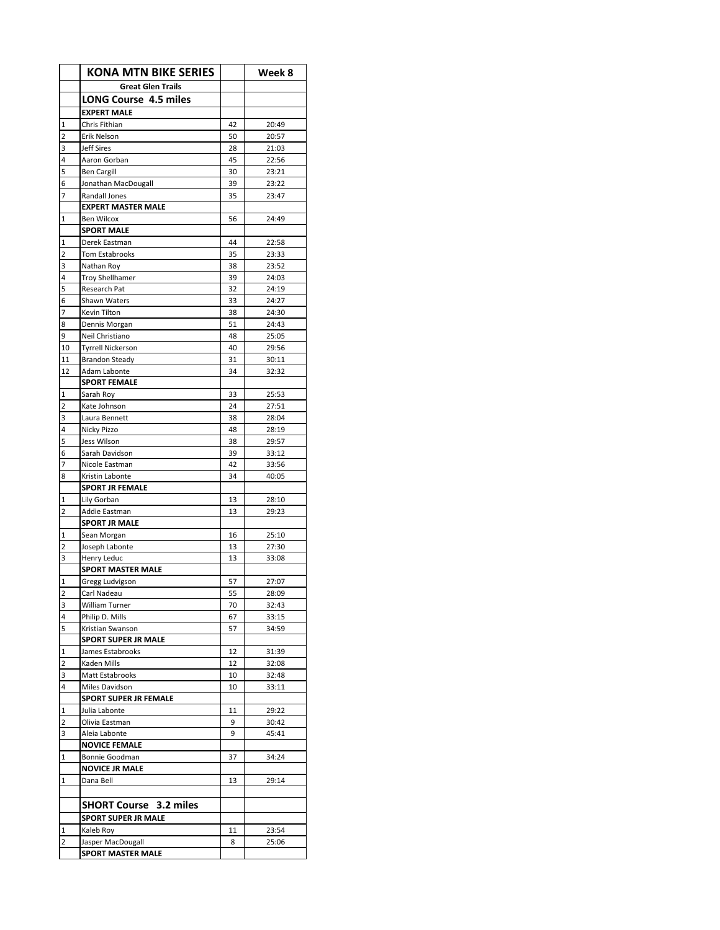|                               | <b>KONA MTN BIKE SERIES</b>                    |          | Week 8         |
|-------------------------------|------------------------------------------------|----------|----------------|
|                               | <b>Great Glen Trails</b>                       |          |                |
|                               | <b>LONG Course 4.5 miles</b>                   |          |                |
|                               | <b>EXPERT MALE</b>                             |          |                |
| $\mathbf 1$                   | Chris Fithian                                  | 42       | 20:49          |
| $\overline{2}$                | Erik Nelson                                    | 50       | 20:57          |
| 3                             | Jeff Sires                                     | 28       | 21:03          |
| 4                             | Aaron Gorban                                   | 45       | 22:56          |
| 5                             | <b>Ben Cargill</b>                             | 30       | 23:21          |
| 6                             | Jonathan MacDougall                            | 39       | 23:22          |
| $\overline{7}$                | Randall Jones                                  | 35       | 23:47          |
| $\mathbf{1}$                  | <b>EXPERT MASTER MALE</b><br><b>Ben Wilcox</b> |          | 24:49          |
|                               | <b>SPORT MALE</b>                              | 56       |                |
| 1                             | Derek Eastman                                  | 44       | 22:58          |
| $\overline{2}$                | Tom Estabrooks                                 | 35       | 23:33          |
| 3                             | Nathan Roy                                     | 38       | 23:52          |
| 4                             | <b>Troy Shellhamer</b>                         | 39       | 24:03          |
| 5                             | Research Pat                                   | 32       | 24:19          |
| 6                             | Shawn Waters                                   | 33       | 24:27          |
| $\overline{7}$                | Kevin Tilton                                   | 38       | 24:30          |
| 8                             | Dennis Morgan                                  | 51       | 24:43          |
| 9                             | Neil Christiano                                | 48       | 25:05          |
| 10                            | <b>Tyrrell Nickerson</b>                       | 40       | 29:56          |
| 11                            | <b>Brandon Steady</b>                          | 31       | 30:11          |
| 12                            | Adam Labonte                                   | 34       | 32:32          |
|                               | <b>SPORT FEMALE</b>                            |          |                |
| $\mathbf 1$<br>$\overline{2}$ | Sarah Roy                                      | 33       | 25:53          |
| 3                             | Kate Johnson<br>Laura Bennett                  | 24<br>38 | 27:51<br>28:04 |
| 4                             | Nicky Pizzo                                    | 48       | 28:19          |
| 5                             | Jess Wilson                                    | 38       | 29:57          |
| 6                             | Sarah Davidson                                 | 39       | 33:12          |
| $\overline{7}$                | Nicole Eastman                                 | 42       | 33:56          |
| 8                             | Kristin Labonte                                | 34       | 40:05          |
|                               | <b>SPORT JR FEMALE</b>                         |          |                |
| 1                             | Lily Gorban                                    | 13       | 28:10          |
| $\overline{2}$                | Addie Eastman                                  | 13       | 29:23          |
|                               | <b>SPORT JR MALE</b>                           |          |                |
| 1                             | Sean Morgan                                    | 16       | 25:10          |
| $\overline{2}$                | Joseph Labonte                                 | 13       | 27:30          |
| 3                             | Henry Leduc                                    | 13       | 33:08          |
|                               | <b>SPORT MASTER MALE</b>                       |          |                |
| 1<br>$\overline{\mathbf{c}}$  | Gregg Ludvigson<br>Carl Nadeau                 | 57       | 27:07<br>28:09 |
| 3                             | William Turner                                 | 55<br>70 | 32:43          |
| 4                             | Philip D. Mills                                | 67       | 33:15          |
| 5                             | Kristian Swanson                               | 57       | 34:59          |
|                               | <b>SPORT SUPER JR MALE</b>                     |          |                |
| $\mathbf 1$                   | James Estabrooks                               | 12       | 31:39          |
| 2                             | Kaden Mills                                    | 12       | 32:08          |
| 3                             | Matt Estabrooks                                | 10       | 32:48          |
| 4                             | Miles Davidson                                 | 10       | 33:11          |
|                               | <b>SPORT SUPER JR FEMALE</b>                   |          |                |
| $\mathbf 1$                   | Julia Labonte                                  | 11       | 29:22          |
| $\overline{2}$                | Olivia Eastman                                 | 9        | 30:42          |
| 3                             | Aleia Labonte                                  | 9        | 45:41          |
|                               | <b>NOVICE FEMALE</b>                           |          |                |
| 1                             | Bonnie Goodman                                 | 37       | 34:24          |
|                               | <b>NOVICE JR MALE</b>                          |          |                |
| $\mathbf 1$                   | Dana Bell                                      | 13       | 29:14          |
|                               | <b>SHORT Course</b> 3.2 miles                  |          |                |
|                               | <b>SPORT SUPER JR MALE</b>                     |          |                |
| 1                             | Kaleb Roy                                      | 11       | 23:54          |
| $\overline{2}$                | Jasper MacDougall                              | 8        | 25:06          |
|                               | <b>SPORT MASTER MALE</b>                       |          |                |